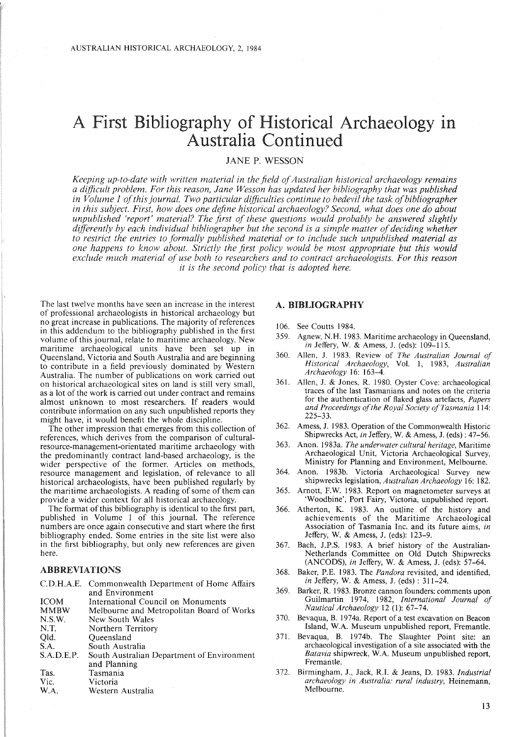# A First Bibliography of Historical Archaeology in Australia Continued

# JANE P. WESSON

*Keeping up-to-date with written material in the field ofAustralian historical archaeology remains a difficult problem. For this reason, Jane Wesson has updated her bibliography that was published in Volume* 1 *ofthis journal. Two particular difficulties continue to bedevil the task ofbibliographer in this subject. First, how does one define historical archaeology? Second, what does one do about unpublished 'report' material? The first of these questions would probably be answered slightly differently by each individual bibliographer but the second is a simple matter ofdeciding whether to restrict the entries to formally published material or to include such unpublished material as one happens to know about. Strictly the first policy would be most appropriate but this would exclude much material of use both to researchers and to contract archaeologists. For this reason it is the second policy that is adopted here.*

The last twelve months have seen an increase in the interest of professional archaeologists in historical archaeology but no great increase in publications. The majority of references in this addendum to the bibliography published in the first volume of this journal, relate to maritime archaeology. New maritime archaeological units have been set up in Queensland, Victoria and South Australia and are beginning to contribute in a field previously dominated by Western Australia. The number of publications on work carried out on historical archaeological sites on land is still very small, as a lot of the work is carried out under contract and remains almost unknown to most researchers. If readers would contribute information on any such unpublished reports they might have, it would benefit the whole discipline.

The other impression that emerges from this collection of references, which derives from the comparison of culturalresource-management-orientated maritime archaeology with the predominantly contract land-based archaeology, is the wider perspective of the former. Articles on methods, resource management and legislation, of relevance to all historical archaeologists, have been published regularly by the maritime archaeologists. A reading of some of them can provide a wider context for all historical archaeology.

The format of this bibliography is identical to the first part, published in Volume I of this journal. The reference numbers are once again consecutive and start where the first bibliography ended. Some entries in the site list were also in the first bibliography, but only new references are given here.

## ABBREVIATIONS

|             | C.D.H.A.E. Commonwealth Department of Home Affairs |
|-------------|----------------------------------------------------|
|             | and Environment                                    |
| <b>ICOM</b> | International Council on Monuments                 |
| <b>MMBW</b> | Melbourne and Metropolitan Board of Works          |
| N.S.W.      | New South Wales                                    |
| N.T.        | Northern Territory                                 |
| Qld.        | Queensland                                         |
| S.A.        | South Australia                                    |
| S.A.D.E.P.  | South Australian Department of Environment         |
|             | and Planning                                       |
| Tas.        | Tasmania                                           |
| Vic.        | Victoria                                           |
| W.A.        | Western Australia                                  |

#### A. BIBLIOGRAPHY

- 106. See Coutts 1984.
- 359. Agnew, N.H. 1983. Maritime archaeology in Queensland, *in* Jeffery, W. & Amess, J. (eds): 109-115.
- 360. Allen, J. 1983. Review of *The Australian Journal of Historical Archaeology,* Vol. 1, 1983, *Australian Archaeology* 16: 163-4.
- 361. Allen, J. & Jones, R. 1980. Oyster Cove: archaeological traces of the last Tasmanians and notes on the criteria for the authentication of flaked glass artefacts, *Papers and Proceedings ofthe Royal Society ofTasmania* 114: 225-33.
- 362. Amess, J. 1983. Operation of the Commonwealth Historic Shipwrecks Act, *in* Jeffery, W. & Amess, J. (eds): 47-56.
- 363. Anon. 1983a. *The underwater cultural heritage,* Maritime Archaeological Unit, Victoria Archaeological Survey, Ministry for Planning and Environment, Melbourne.
- 364. Anon. 1983b. Victoria Archaeological Survey new shipwrecks legislation, *Australian Archaeology* 16: 182.
- 365. Arnott, F.W. 1983. Report on magnetometer surveys at 'Woodbine', Port Fairy, Victoria, unpublished report.
- 366. Atherton, K. 1983. An outline of the history and achievements of the Maritime Archaeological Association of Tasmania Inc. and its future aims, *in* Jeffery, W. & Amess, J. (eds): 123-9.
- 367. Bach, J.P.S. 1983. A brief history of the Australian-Netherlands Committee on Old Dutch Shipwrecks (ANCODS), *in* Jeffery, W. & Amess, J. (eds): 57-64.
- 368. Baker, P.E. 1983. The *Pandora* revisited, and identified, *in* Jeffery, W. & Amess, J. (eds) : 311-24.
- 369. Barker, R. 1983. Bronze cannon founders:comments upon Guilmartin 1974, 1982, *International Journal of Nautical Archaeology* 12 (1): 67-74.
- 370. Bevaqua, B. 1974a. Report of a test excavation on Beacon Island, W.A. Museum unpublished report, Fremantle.
- 371. Bevaqua, B. 1974b. The Slaughter Point site: an archaeological investigation of a site associated with the *Batavia* shipwreck, W.A. Museum unpublished report, Fremantle.
- 372. Birmingham, J., Jack, R.I. & Jeans, D. 1983. *Industrial archaeology in Australia: rural industry,* Heinemann, Melbourne.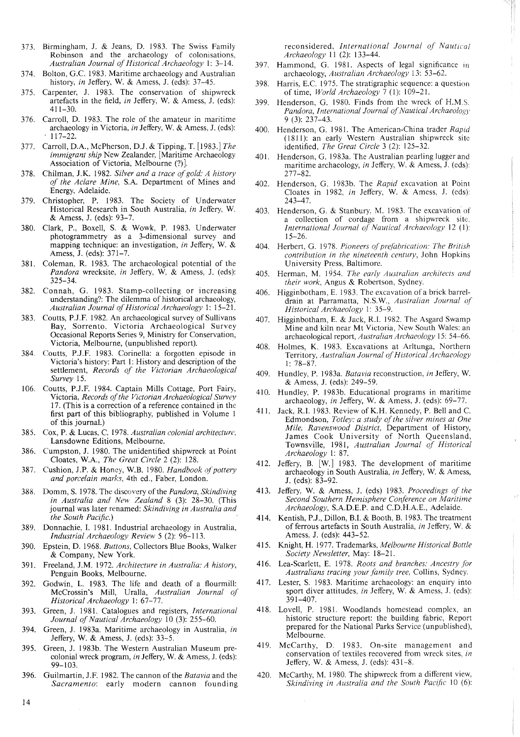- 373. Birmingham, J. & Jeans, D. 1983. The Swiss Family Robinson and the archaeology of colonisations, *Australian Journal ofHistorical Archaeology* I: 3-14.
- 374. Bolton, G.c. 1983. Maritime archaeology and Australian history, *in* Jeffery, W. & Amess, J. (eds): 37-45.
- 375. Carpenter, J. 1983. The conservation of shipwreck artefacts in the field, *in* Jeffery, W. & Amess, J. (eds): 411-30.
- 376. Carroll, D. 1983. The role of the amateur in maritime archaeology in Victoria, *in* Jeffery, W. & Amess, J. (eds): . 117-22.
- 377. Carroll, D.A., McPherson, D.J. & Tipping, T. [1983.] *The immigrant ship* New Zealander, [Maritime Archaeology Association of Victoria, Melbourne (?)].
- 378. Chilman, J.K. 1982. *Silver and a trace ofgold: A history of the Aclare Mine,* S.A. Department of Mines and Energy, Adelaide.
- 379. Christopher, P. 1983. The Society of Underwater Historical Research in South Australia, *in* Jeffery, W. & Amess, J. (eds): 93-7.
- 380. Clark, P., Boxell, S. & Wowk, P. 1983. Underwater photogrammetry as a 3-dimensional survey and mapping technique: an investigation, *in* Jeffery, W. & Amess, J. (eds): 371-7.
- 381. Coleman, R. 1983. The archaeological potential of the *Pandora* wrecksite, *in* Jeffery, W, & Amess, J. (eds): 325-34.
- 382. Connah, G. 1983. Stamp-collecting or increasing understanding?: The dilemma of historical archaeology, Australian Journal of Historical Archaeology 1: 15-21.
- 383. Coutts, P.J.F. 1982. An archaeological survey of Sullivans Bay, Sorrento. Victoria Archaeological Survey Occasional Reports Series 9, Ministry for Conservation, Victoria, Melbourne, (unpublished report).
- 384. Coutts, P.J.F. 1983. Corinella: a forgotten episode in Victoria's history: Part 1: History and description of the settlement, *Records of the Victorian Archaeological Survey 15.*
- 106. Coutts, P.J.F. 1984. Captain Mills Cottage, Port Fairy, Victoria, *Records of the Victorian Archaeological Survey* 17. (This is a correction of a reference contained in the first part of this bibliography, published in Volume 1 of this journal.)
- 385. Cox, P. & Lucas, C. 1978. *Australian colonial architecture,* Lansdowne Editions, Melbourne.
- 386. Cumpston, J. 1980. The unidentified shipwreck at Point Cloates, W.A., *The Great Circle* 2 (2): 128.
- 387. Cushion, J.P. & Honey, W.B. 1980. *Handbook of pottery and porcelain marks,* 4th ed., Faber, London.
- 388. Domm, S. 1978. The discovery of the *Pandora, Skindiving in Australia and New Zealand* 8 (3): 28-30. (This journal was later renamed: *Skindiving in Australia and the South Pacific.)*
- 389. Donnachie, I. 1981. Industrial archaeology in Australia, *Industrial Archaeology Review* 5 (2): 96-113.
- 390. Epstein, D. 1968. *Buttons,* Collectors Blue Books, Walker & Company, New York.
- 391. Freeland, J.M. 1972. *Architecture in Australia: A history,* Penguin Books, Melbourne.
- 392. Godwin, L. 1983. The life and death of a flourmill: McCrossin's Mill, Uralla, *Australian Journal of Historical Archaeology* 1: 67-77.
- 393. Green, J. 1981. Catalogues and registers, *International Journal of Nautical Archaeology* 10 (3): 255-60.
- 394. Green, J. 1983a. Maritime archaeology in Australia, *in* Jeffery, W. & Amess, J. (eds): 33-5.
- 395. Green, J. 1983b. The Western Australian Museum precolonial wreck program, *in* Jeffery, W. & Amess, 1. (eds): 99-103.
- 396. Guilmartin, J.F. 1982. The cannon ofthe *Batavia* and the *Sacramento:* early modern cannon founding

reconsidered, *International Journal of Nautical Archaeology* 11 (2): 133-44.

- 397. Hammond, G. 1981. Aspects of legal significance in archaeology, *Australian Archaeology* 13: 53-62.
- 398. Harris, E.C. 1975. The stratigraphic sequence: a question of time, *World Archaeology* 7 (I): 109-21.
- 399. Henderson, G. 1980. Finds from the wreck of H.MS. *Pandora, International Journal of Nautical Archaeology* 9 (3): 237-43.
- 400. Henderson, G. 1981. The American-China trader *Rapid* (1811): an early Western Australian shipwreck site identified, *The Great Circle* 3 (2): 125-32.
- 401. Henderson, G. 1983a. The Australian pearling lugger and maritime archaeology, *in* Jeffery, W. & Amess, J. (eds): 277-82.
- 402. Henderson, G. 1983b. The *Rapid* excavation at Point Cloates in 1982, *in* Jeffery, W. & Amess, J. (eds) 243-47.
- 403. Henderson, G. & Stanbury, M. 1983. The excavation of a collection of cordage from a shipwreck site. *International Journal of Nautical Archaeology* 12 (I): 15-26.
- 404. Herbert, G. 1978. *Pioneers ofprefabrication: The British contribution in the nineteenth century,* John Hopkins University Press, Baltimore.
- 405. Herman, M. 1954. *The early Australian architects and their work,* Angus & Robertson, Sydney.
- 406. Higginbotham, E. 1983. The excavation of a brick barreldrain at Parramatta, N.S.W., *Australian Journal of Historical Archaeology* I: 35-9.
- 407. Higginbotham, E. & Jack, R.I. 1982. The Asgard Swamp Mine and kiln near Mt Victoria, New South Wales: an archaeological report, *Australian Archaeology* 15: 54-66.
- 408. Holmes, K. 1983. Excavations at Arltunga, Northern Territory, *Australian Journal ofHistorical Archaeology* 1: 78-87.
- 409. Hundley, P. 1983a. *Batavia* reconstruction, *in* Jeffery, W. & Amess, J. (eds): 249-59.
- 410. Hundley, P. 1983b. Educational programs in maritime archaeology, *in* Jeffery, W. & Amess, J. (eds): 69-77.
- 411. Jack, R.I. 1983. Review of K.H. Kennedy, P. Bell and C. Edmondson, *Totley: a study of the silver mines at One Mile, Ravenswood District,* Department of History, James Cook University of North Queensland, Townsville, 1981, *Australian Journal of Historical Archaeology* I: 87.
- 412. Jeffery, B. [W.] 1983. The development of maritime archaeology in South Australia, *in* Jeffery, W. & Amess, J. (eds): 83-92.
- 413. Jeffery, W. & Amess, J. (eds) 1983. *Proceedings of the Second Southern Hemisphere Conference on Maritime Archaeology,* S.A.D.E.P. and C.D.H.A.E., Adelaide.
- 414. Kentish, P.J., Dillon, B.I. & Booth, B. 1983. The treatment of ferrous artefacts in South Australia, *in* Jeffery, W. & Amess, J. (eds): 443-52.
- 415. Knight, H. 1977. Trademarks, *Melbourne Historical Bottle Society Newsletter,* May: 18-21.
- 416. Lea-Scarlett, E. 1978. *Roots and branches: Ancestry for Australians tracing your family tree,* Collins, Sydney.
- 417. Lester, S. 1983. Maritime archaeology: an enquiry into sport diver attitudes, *in* Jeffery, W. & Amess, J. (eds): 391-407.
- 418. Lovell, P. 1981. Woodlands homestead complex, an historic structure report: the building fabric, Report prepared for the National Parks Service (unpublished), Melbourne.
- 419. McCarthy, D. 1983. On-site management and conservation of textiles recovered from wreck sites, *in* Jeffery, W. & Amess, J. (eds): 431-8.
- 420. McCarthy, M. 1980. The shipwreck from a different view, *Skindiving in Australia and the South Pacific* 10 (6):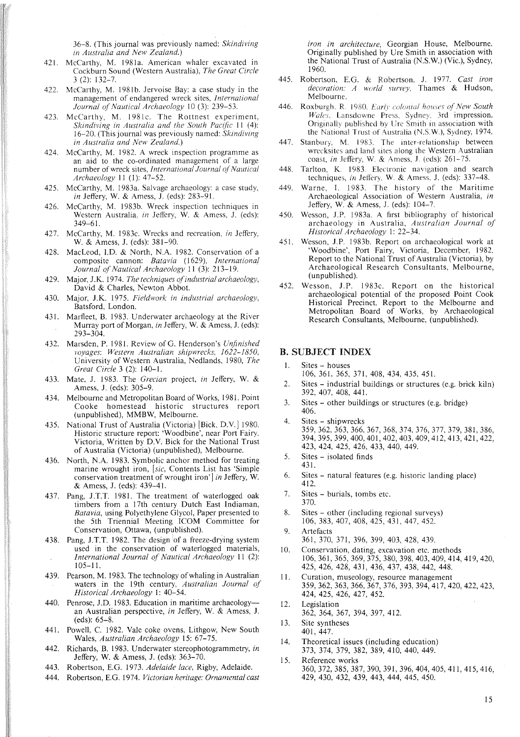36-8. (This journal was previously named: *Skindiving in Australia and New Zealand.)*

- 421. McCarthy, M. 1981a. American whaler excavated in Cockburn Sound (Western Australia), *The Great Circle* 3 (2): 132-7.
- 422. McCarthy, M. 1981b. Jervoise Bay: a case study in the management of endangered wreck sites, *International Journal of Nautical Archaeology* 10 (3): 239-53.
- 423. McCarthy, M. 1981c. The Rottnest experiment, *Skindiving in Australia and the South Pacific* II (4): 16-20. (This journal was previously named: *Skindiving in Australia and New Zealand.)*
- 424. McCarthy, M. 1982. A wreck inspection programme as an aid to the co-ordinated management of a large number of wreck sites, *International Journal of Nautical Archaeology* II (I): 47-52.
- 425. McCarthy, M. 1983a. Salvage archaeology: a case study, *in* Jeffery, W. & Amess, J. (eds): 283-91.
- 426. McCarthy, M. 1983b. Wreck inspection techniques in Western Australia, *in* Jeffery, W. & Amess, J. (eds): 349-61.
- 427. McCarthy, M. 1983c. Wrecks and recreation, *in* Jeffery, W. & Amess, J. (eds): 381-90.
- 428. MacLeod, J.D. & North, N.A. 1982. Conservation of a composite cannon: *Batavia* (1629), *International Journal of Nautical Archaeology* 11 (3): 213-19.
- 429. Major, J.K. 1974. *The techniques ofindustrial archaeology,* David & Charles, Newton Abbot.
- 430. Major, J.K. 1975. *Fieldwork in industrial archaeology,* Batsford, London.
- 431. Marfleet, B. 1983. Underwater archaeology at the River Murray port of Morgan, *in* Jeffery, W. & Amess, J. (eds): 293-304.
- 432. Marsden, P. 1981. Review of G. Henderson's *Unfinished voyages: Western Australian shipwrecks, 1622-1850,* University of Western Australia, Nedlands, 1980, *The Great Circle* 3 (2): 140-1.
- 433. Mate, J. 1983. The *Grecian* project, *in* Jeffery, W. & Amess, J. (eds): 305-9.
- 434. Melbourne and Metropolitan Board of Works, 1981. Point Cooke homestead historic structures report (unpublished), MMBW, Melbourne.
- 435. National Trust of Australia (Victoria) [Bick, D.V.] 1980. Historic structure report: 'Woodbine', near Port Fairy, Victoria, Written by D.V. Bick for the National Trust of Australia (Victoria) (unpublished), Melbourne.
- 436. North, N.A. 1983. Symbolic anchor method for treating marine wrought iron, *[sic,* Contents List has 'Simple conservation treatment of wrought iron'] *in* Jeffery, W. & Amess, J. (eds): 439-41.
- 437. Pang, J.T.T. 1981. The treatment of waterlogged oak timbers from a 17th century Dutch East Indiaman, *Batavia,* using Polyethylene Glycol, Paper presented to the 5th Triennial Meeting ICOM Committee for Conservation, Ottawa, (unpublished).
- 438. Pang, J.T.T. 1982. The design 'of a freeze-drying system used in the conservation of waterlogged materials, *International Journal of Nautical Archaeology* II (2): 105-11.
- 439. Pearson, M. 1983. The technology of whaling in Australian waters in the 19th century, *Australian Journal of Historical Archaeology* I: 40-54.
- 440. Penrose, J.D. 1983. Education in maritime archaeology-an Australian perspective, *in* Jeffery, W. & Amess, J. (eds): 65-8.
- 441. Powell, C. 1982. Vale coke ovens, Lithgow, New South Wales, *Australian Archaeology* 15: 67-75.
- 442. Richards, B. 1983. Underwater stereophotogramrnetry, *in* Jeffery, W. & Amess, J. (eds): 363-70.
- 443. Robertson, E.G. 1973. *Adelaide lace,* Rigby, Adelaide.
- 444. Robertson, E.G. 1974. *Victorian heritage: Ornamental cast*

*iron in architecture,* Georgian House, Melbourne. Originally published by Ure Smith in association with the National Trust of Australia (N.S.W) (Vic.), Sydney, 1960.

- 445. Robertson, E.G. & Robertson, J. 1977. *Cast iron decoration: A world survey,* Thames & Hudson, Melbourne.
- 446. Roxburgh, R. 1980. *Early colonial houses of New South Wales.* Lansdowne Press, Sydney. 3rd impression. Originally published by Ure Smith in association with the National Trust of Australia (N.S.W), Sydney, 1974.
- 447. Stanbury, M. 1983. The inter-relationship between wrecksites and land sites along the Western Australian coast, *in* Jeffery, W. & Arness, J. (eds): 261-75.
- 448. Tarlton, K. 1983. Electronic navigation and search techniques, *in* Jeffery, W. & Amess, J. (eds): 337-48.
- 449. Warne, I. 1983. The history of the Maritime Archaeological Association of Western Australia, *in* Jeffery, W. & Amess, J. (eds): 104-7.
- 450. Wesson, J.P. 1983a. A first bibliography of historical archaeology in Australia, *Australian Journal of Historical Archaeology* I: 22-34.
- 451. Wesson, J.P. 1983b. Report on archaeological work at 'Woodbine', Port Fairy, Victoria, December, 1982. Report to the National Trust of Australia (Victoria), by Archaeological Research Consultants, Melbourne, (unpublished).
- 452. Wesson, J.P. 1983c. Report on the historical archaeological potential of the proposed Point Cook Historical Precinct. Report to the Melbourne and Metropolitan Board of Works, by Archaeological Research Consultants, Melbourne, (unpublished).

## B. SUBJECT INDEX

- I. Sites houses
- 106, 361, 365, 371, 408, 434, 435, 451.
- 2. Sites industrial buildings or structures (e.g. brick kiln) 392, 407, 408, 441.
- 3. Sites other buildings or structures (e.g. bridge) 406.
- 4. Sites shipwrecks 359,362,363,366,367,368,374,376,377,379,381,386, 394,395,399,400,401,402,403,409,412,413,421,422, 423, 424, 425, 426, 433, 440, 449.
- 5. Sites isolated finds 431.
- 6. Sites natural features (e.g. historic landing place) 412.
- 7. Sites burials, tombs etc. 370.
- 8. Sites other (including regional surveys) 106,383,407,408,425,431,447,452.
- 9. Artefacts 361,370,371,396,399,403,428,439.
- 10. Conservation, dating, excavation etc. methods 106,361,365,369,375,380,398,403,409,414,419,420, 425,426,428, 431, 436, 437, 438, 442, 448.
- 11. Curation, museology, resource management 359,362,363,366,367,376,393,394,417,420,422,423, 424, 425, 426, 427, 452.
- 12. Legislation 362, 364, 367, 394, 397, 412.
- 13. Site syntheses 401,447.
- 14. Theoretical issues (including education) 373, 374, 379, 382, 389, 410, 440, 449.
- 15. Reference works 360,372,385,387,390,391,396,404,405,411,415,416, 429, 430, 432, 439, 443, 444, 445, 450.